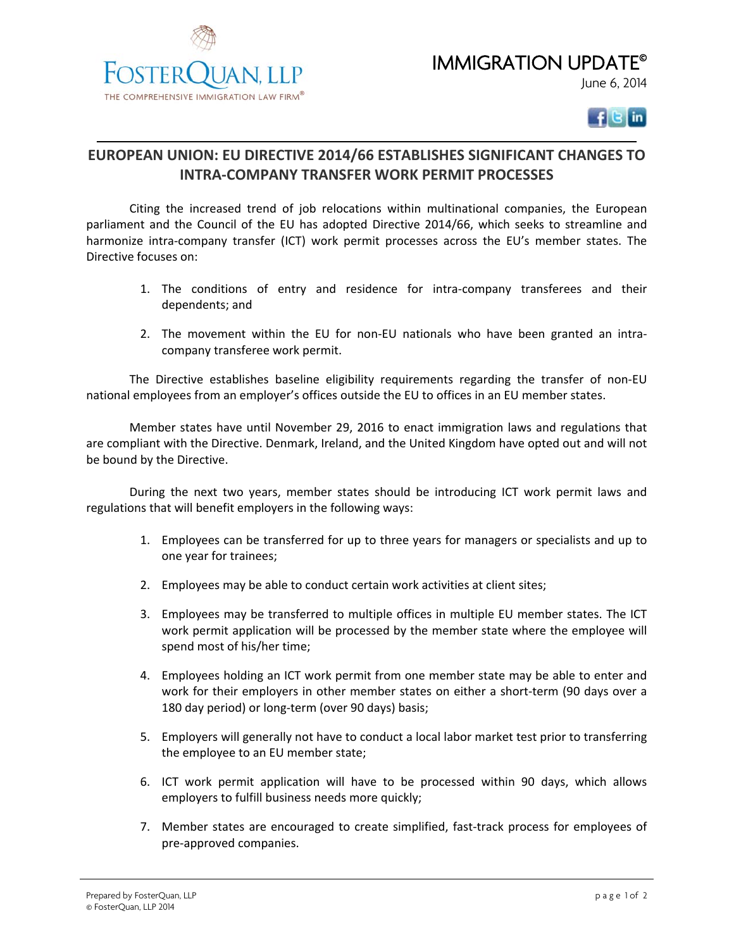IMMIGRATION UPDATE© June 6, 2014





## **EUROPEAN UNION: EU DIRECTIVE 2014/66 ESTABLISHES SIGNIFICANT CHANGES TO INTRA‐COMPANY TRANSFER WORK PERMIT PROCESSES**

Citing the increased trend of job relocations within multinational companies, the European parliament and the Council of the EU has adopted Directive 2014/66, which seeks to streamline and harmonize intra-company transfer (ICT) work permit processes across the EU's member states. The Directive focuses on:

- 1. The conditions of entry and residence for intra-company transferees and their dependents; and
- 2. The movement within the EU for non-EU nationals who have been granted an intracompany transferee work permit.

The Directive establishes baseline eligibility requirements regarding the transfer of non‐EU national employees from an employer's offices outside the EU to offices in an EU member states.

Member states have until November 29, 2016 to enact immigration laws and regulations that are compliant with the Directive. Denmark, Ireland, and the United Kingdom have opted out and will not be bound by the Directive.

During the next two years, member states should be introducing ICT work permit laws and regulations that will benefit employers in the following ways:

- 1. Employees can be transferred for up to three years for managers or specialists and up to one year for trainees;
- 2. Employees may be able to conduct certain work activities at client sites;
- 3. Employees may be transferred to multiple offices in multiple EU member states. The ICT work permit application will be processed by the member state where the employee will spend most of his/her time;
- 4. Employees holding an ICT work permit from one member state may be able to enter and work for their employers in other member states on either a short-term (90 days over a 180 day period) or long-term (over 90 days) basis;
- 5. Employers will generally not have to conduct a local labor market test prior to transferring the employee to an EU member state;
- 6. ICT work permit application will have to be processed within 90 days, which allows employers to fulfill business needs more quickly;
- 7. Member states are encouraged to create simplified, fast-track process for employees of pre‐approved companies.